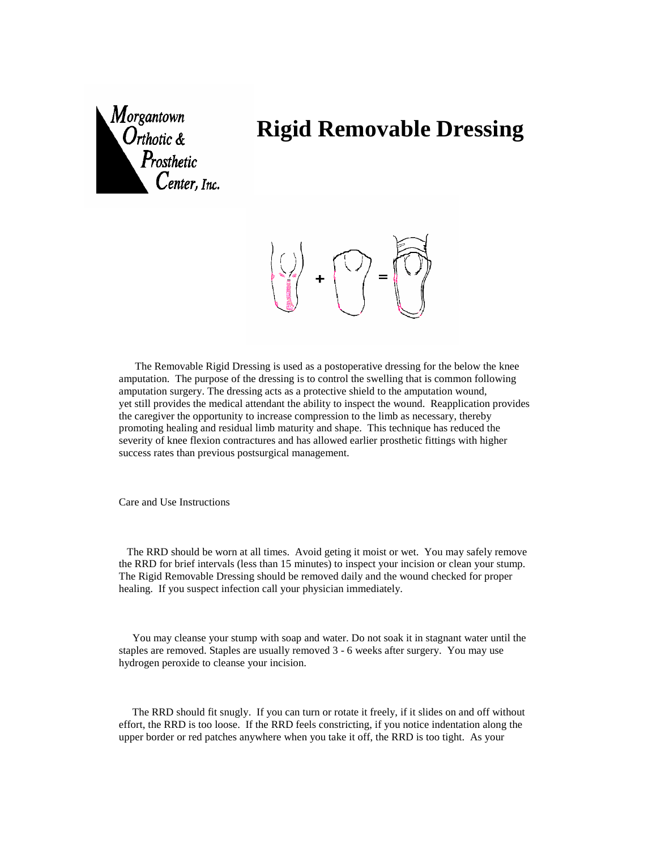

## **Rigid Removable Dressing**

 $\pm$ 

 The Removable Rigid Dressing is used as a postoperative dressing for the below the knee amputation. The purpose of the dressing is to control the swelling that is common following amputation surgery. The dressing acts as a protective shield to the amputation wound, yet still provides the medical attendant the ability to inspect the wound. Reapplication provides the caregiver the opportunity to increase compression to the limb as necessary, thereby promoting healing and residual limb maturity and shape. This technique has reduced the severity of knee flexion contractures and has allowed earlier prosthetic fittings with higher success rates than previous postsurgical management.

Care and Use Instructions

 The RRD should be worn at all times. Avoid geting it moist or wet. You may safely remove the RRD for brief intervals (less than 15 minutes) to inspect your incision or clean your stump. The Rigid Removable Dressing should be removed daily and the wound checked for proper healing. If you suspect infection call your physician immediately.

 You may cleanse your stump with soap and water. Do not soak it in stagnant water until the staples are removed. Staples are usually removed 3 - 6 weeks after surgery. You may use hydrogen peroxide to cleanse your incision.

 The RRD should fit snugly. If you can turn or rotate it freely, if it slides on and off without effort, the RRD is too loose. If the RRD feels constricting, if you notice indentation along the upper border or red patches anywhere when you take it off, the RRD is too tight. As your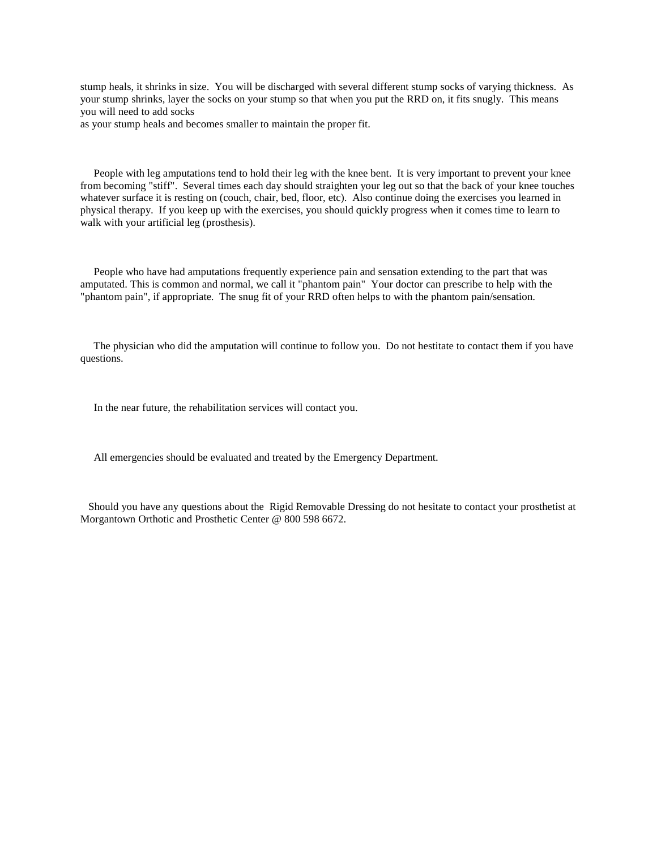stump heals, it shrinks in size. You will be discharged with several different stump socks of varying thickness. As your stump shrinks, layer the socks on your stump so that when you put the RRD on, it fits snugly. This means you will need to add socks

as your stump heals and becomes smaller to maintain the proper fit.

 People with leg amputations tend to hold their leg with the knee bent. It is very important to prevent your knee from becoming "stiff". Several times each day should straighten your leg out so that the back of your knee touches whatever surface it is resting on (couch, chair, bed, floor, etc). Also continue doing the exercises you learned in physical therapy. If you keep up with the exercises, you should quickly progress when it comes time to learn to walk with your artificial leg (prosthesis).

 People who have had amputations frequently experience pain and sensation extending to the part that was amputated. This is common and normal, we call it "phantom pain" Your doctor can prescribe to help with the "phantom pain", if appropriate. The snug fit of your RRD often helps to with the phantom pain/sensation.

 The physician who did the amputation will continue to follow you. Do not hestitate to contact them if you have questions.

In the near future, the rehabilitation services will contact you.

All emergencies should be evaluated and treated by the Emergency Department.

 Should you have any questions about the Rigid Removable Dressing do not hesitate to contact your prosthetist at Morgantown Orthotic and Prosthetic Center @ 800 598 6672.